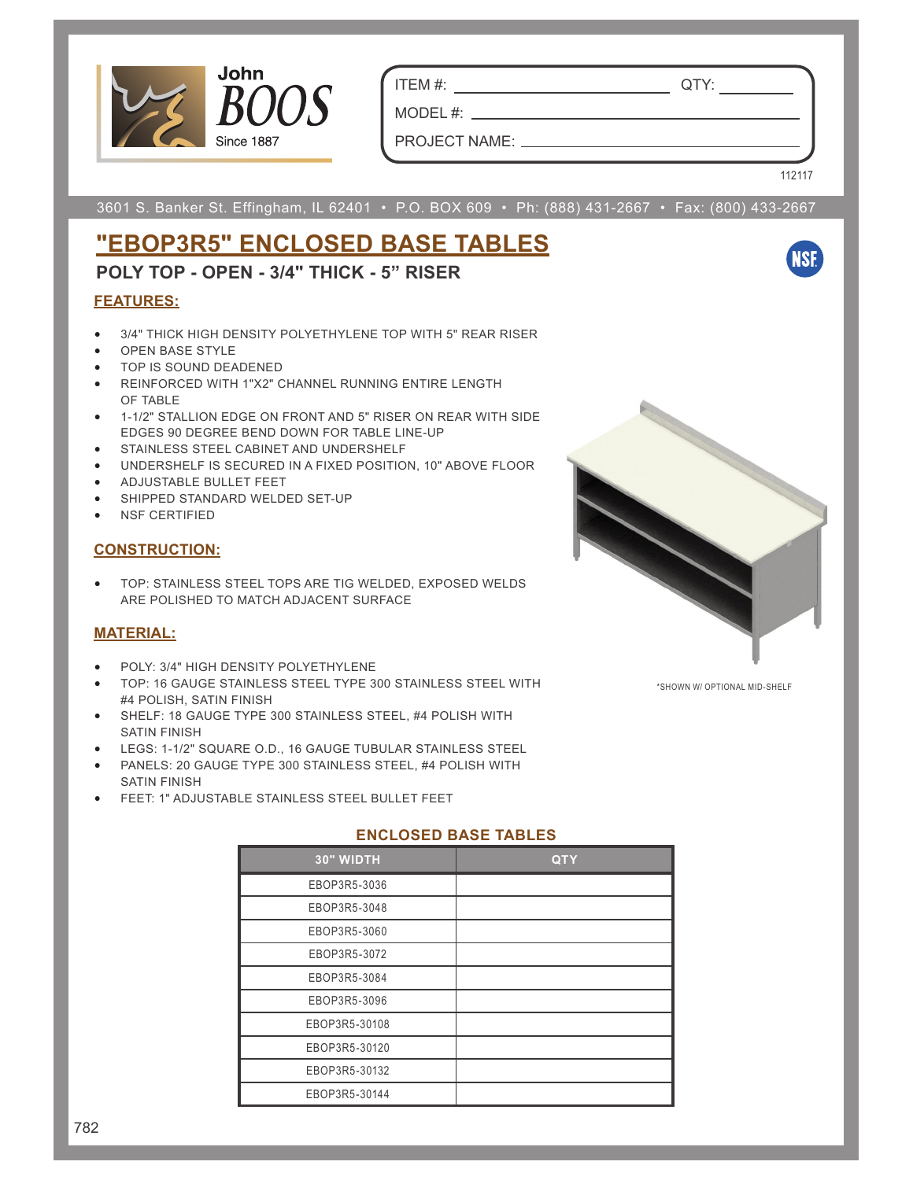

ITEM #: QTY:

MODEL #:  $\_\_$ 

PROJECT NAME:

112117

**NSF** 

3601 S. Banker St. Effingham, IL 62401 • P.O. BOX 609 • Ph: (888) 431-2667 • Fax: (800) 433-2667

## **"EBOP3R5" ENCLOSED BASE TABLES POLY TOP - OPEN - 3/4" THICK - 5" RISER**

## **FEATURES:**

- 3/4" THICK HIGH DENSITY POLYETHYLENE TOP WITH 5" REAR RISER
- **OPEN BASE STYLE**
- TOP IS SOUND DEADENED
- REINFORCED WITH 1"X2" CHANNEL RUNNING ENTIRE LENGTH OF TABLE
- 1-1/2" STALLION EDGE ON FRONT AND 5" RISER ON REAR WITH SIDE EDGES 90 DEGREE BEND DOWN FOR TABLE LINE-UP
- STAINLESS STEEL CABINET AND UNDERSHELF
- UNDERSHELF IS SECURED IN A FIXED POSITION, 10" ABOVE FLOOR
- ADJUSTABLE BULLET FEET
- SHIPPED STANDARD WELDED SET-UP
- NSF CERTIFIED

### **CONSTRUCTION:**

• TOP: STAINLESS STEEL TOPS ARE TIG WELDED, EXPOSED WELDS ARE POLISHED TO MATCH ADJACENT SURFACE

#### **MATERIAL:**

- POLY: 3/4" HIGH DENSITY POLYETHYLENE
- TOP: 16 GAUGE STAINLESS STEEL TYPE 300 STAINLESS STEEL WITH #4 POLISH, SATIN FINISH
- SHELF: 18 GAUGE TYPE 300 STAINLESS STEEL, #4 POLISH WITH SATIN FINISH
- LEGS: 1-1/2" SQUARE O.D., 16 GAUGE TUBULAR STAINLESS STEEL
- PANELS: 20 GAUGE TYPE 300 STAINLESS STEEL, #4 POLISH WITH SATIN FINISH
- FEET: 1" ADJUSTABLE STAINLESS STEEL BULLET FEET

| LNOLOULD DAUL IADLLU |            |  |  |
|----------------------|------------|--|--|
| <b>30" WIDTH</b>     | <b>QTY</b> |  |  |
| EBOP3R5-3036         |            |  |  |
| EBOP3R5-3048         |            |  |  |
| EBOP3R5-3060         |            |  |  |
| EBOP3R5-3072         |            |  |  |
| EBOP3R5-3084         |            |  |  |
| EBOP3R5-3096         |            |  |  |
| EBOP3R5-30108        |            |  |  |
| EBOP3R5-30120        |            |  |  |
| EBOP3R5-30132        |            |  |  |
| EBOP3R5-30144        |            |  |  |

## **ENCLOSED BASE TABLES**



\*SHOWN W/ OPTIONAL MID-SHELF